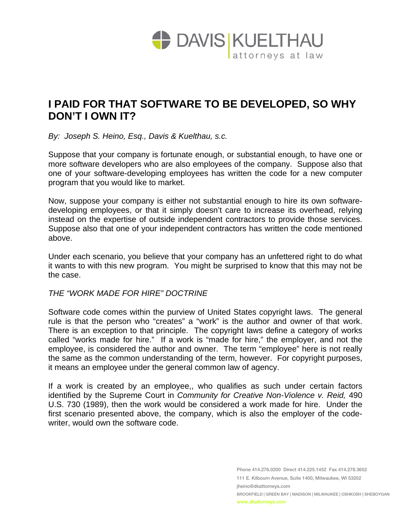

## **I PAID FOR THAT SOFTWARE TO BE DEVELOPED, SO WHY DON'T I OWN IT?**

*By: Joseph S. Heino, Esq., Davis & Kuelthau, s.c.* 

Suppose that your company is fortunate enough, or substantial enough, to have one or more software developers who are also employees of the company. Suppose also that one of your software-developing employees has written the code for a new computer program that you would like to market.

Now, suppose your company is either not substantial enough to hire its own softwaredeveloping employees, or that it simply doesn't care to increase its overhead, relying instead on the expertise of outside independent contractors to provide those services. Suppose also that one of your independent contractors has written the code mentioned above.

Under each scenario, you believe that your company has an unfettered right to do what it wants to with this new program. You might be surprised to know that this may not be the case.

## *THE "WORK MADE FOR HIRE" DOCTRINE*

Software code comes within the purview of United States copyright laws. The general rule is that the person who "creates" a "work" is the author and owner of that work. There is an exception to that principle. The copyright laws define a category of works called "works made for hire." If a work is "made for hire," the employer, and not the employee, is considered the author and owner. The term "employee" here is not really the same as the common understanding of the term, however. For copyright purposes, it means an employee under the general common law of agency.

If a work is created by an employee,, who qualifies as such under certain factors identified by the Supreme Court in *Community for Creative Non-Violence v. Reid,* 490 U.S. 730 (1989), then the work would be considered a work made for hire. Under the first scenario presented above, the company, which is also the employer of the codewriter, would own the software code.

> Phone 414.276.0200 Direct 414.225.1452 Fax 414.278.3652 111 E. Kilbourn Avenue, Suite 1400, Milwaukee, WI 53202 jheino@dkattorneys.com BROOKFIELD | GREEN BAY | MADISON | MILWAUKEE | OSHKOSH | SHEBOYGAN www.dkattorneys.com